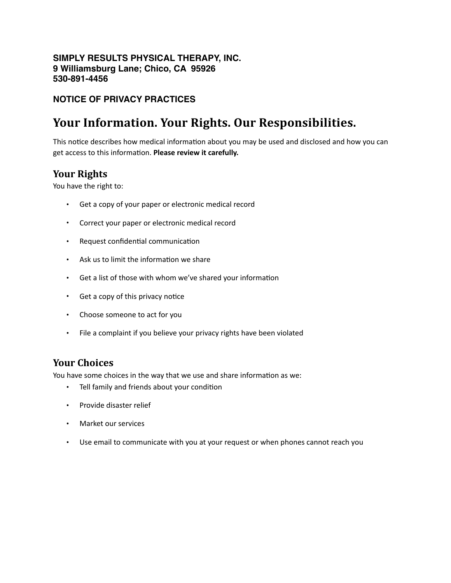## **SIMPLY RESULTS PHYSICAL THERAPY, INC. 9 Williamsburg Lane; Chico, CA 95926 530-891-4456**

# **NOTICE OF PRIVACY PRACTICES**

# Your Information. Your Rights. Our Responsibilities.

This notice describes how medical information about you may be used and disclosed and how you can get access to this information. Please review it carefully.

# Your Rights

You have the right to:

- Get a copy of your paper or electronic medical record
- Correct your paper or electronic medical record
- Request confidential communication
- Ask us to limit the information we share
- Get a list of those with whom we've shared your information
- Get a copy of this privacy notice
- Choose someone to act for you
- File a complaint if you believe your privacy rights have been violated

# **Your Choices**

You have some choices in the way that we use and share information as we:

- Tell family and friends about your condition
- Provide disaster relief
- Market our services
- Use email to communicate with you at your request or when phones cannot reach you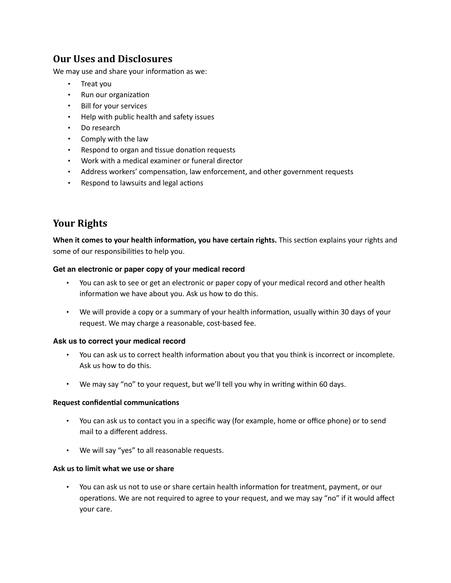# **Our Uses and Disclosures**

We may use and share your information as we:

- Treat you
- Run our organization
- Bill for your services
- Help with public health and safety issues
- Do research
- Comply with the law
- Respond to organ and tissue donation requests
- Work with a medical examiner or funeral director
- Address workers' compensation, law enforcement, and other government requests
- Respond to lawsuits and legal actions

# **Your Rights**

**When it comes to your health information, you have certain rights.** This section explains your rights and some of our responsibilities to help you.

### **Get an electronic or paper copy of your medical record**

- You can ask to see or get an electronic or paper copy of your medical record and other health information we have about you. Ask us how to do this.
- We will provide a copy or a summary of your health information, usually within 30 days of your request. We may charge a reasonable, cost-based fee.

### **Ask us to correct your medical record**

- You can ask us to correct health information about you that you think is incorrect or incomplete. Ask us how to do this.
- We may say "no" to your request, but we'll tell you why in writing within 60 days.

### **Request confidential communications**

- You can ask us to contact you in a specific way (for example, home or office phone) or to send mail to a different address.
- We will say "yes" to all reasonable requests.

### Ask us to limit what we use or share

• You can ask us not to use or share certain health information for treatment, payment, or our operations. We are not required to agree to your request, and we may say "no" if it would affect your care.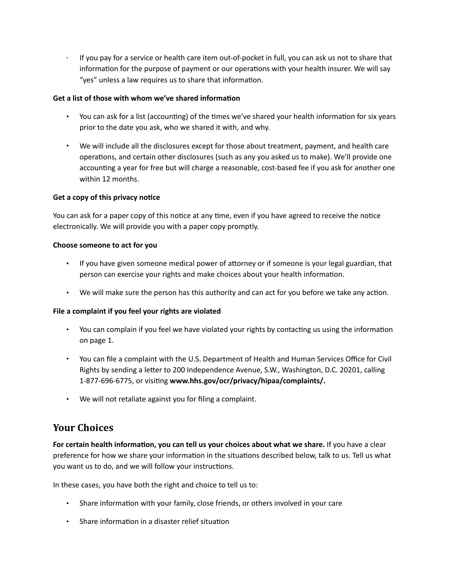If you pay for a service or health care item out-of-pocket in full, you can ask us not to share that information for the purpose of payment or our operations with your health insurer. We will say "yes" unless a law requires us to share that information.

### Get a list of those with whom we've shared information

- You can ask for a list (accounting) of the times we've shared your health information for six years prior to the date you ask, who we shared it with, and why.
- We will include all the disclosures except for those about treatment, payment, and health care operations, and certain other disclosures (such as any you asked us to make). We'll provide one accounting a year for free but will charge a reasonable, cost-based fee if you ask for another one within 12 months.

### **Get a copy of this privacy notice**

You can ask for a paper copy of this notice at any time, even if you have agreed to receive the notice electronically. We will provide you with a paper copy promptly.

### **Choose someone to act for you**

- If you have given someone medical power of attorney or if someone is your legal guardian, that person can exercise your rights and make choices about your health information.
- We will make sure the person has this authority and can act for you before we take any action.

### File a complaint if you feel your rights are violated

- You can complain if you feel we have violated your rights by contacting us using the information on page 1.
- You can file a complaint with the U.S. Department of Health and Human Services Office for Civil Rights by sending a letter to 200 Independence Avenue, S.W., Washington, D.C. 20201, calling 1-877-696-6775, or visiting www.hhs.gov/ocr/privacy/hipaa/complaints/.
- We will not retaliate against you for filing a complaint.

# **Your Choices**

For certain health information, you can tell us your choices about what we share. If you have a clear preference for how we share your information in the situations described below, talk to us. Tell us what you want us to do, and we will follow your instructions.

In these cases, you have both the right and choice to tell us to:

- Share information with your family, close friends, or others involved in your care
- $\cdot$  Share information in a disaster relief situation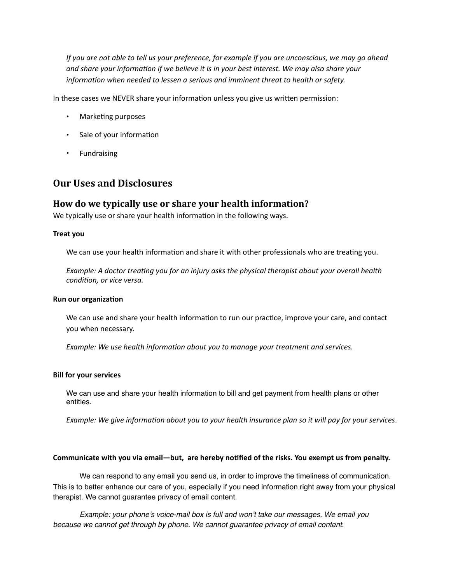*If* you are not able to tell us your preference, for example if you are unconscious, we may go ahead and share your information if we believe it is in your best interest. We may also share your *information* when needed to lessen a serious and imminent threat to health or safety.

In these cases we NEVER share your information unless you give us written permission:

- Marketing purposes
- Sale of your information
- Fundraising

# **Our Uses and Disclosures**

### How do we typically use or share your health information?

We typically use or share your health information in the following ways.

#### **Treat you**

We can use your health information and share it with other professionals who are treating you.

*Example:* A doctor treating you for an injury asks the physical therapist about your overall health *condition, or vice versa.* 

#### **Run our organization**

We can use and share your health information to run our practice, improve your care, and contact you when necessary.

*Example:* We use health information about you to manage your treatment and services.

#### **Bill for your services**

We can use and share your health information to bill and get payment from health plans or other entities.

*Example:* We give information about you to your health insurance plan so it will pay for your services.

#### Communicate with you via email—but, are hereby notified of the risks. You exempt us from penalty.

We can respond to any email you send us, in order to improve the timeliness of communication. This is to better enhance our care of you, especially if you need information right away from your physical therapist. We cannot guarantee privacy of email content.

*Example: your phone's voice-mail box is full and won't take our messages. We email you because we cannot get through by phone. We cannot guarantee privacy of email content.*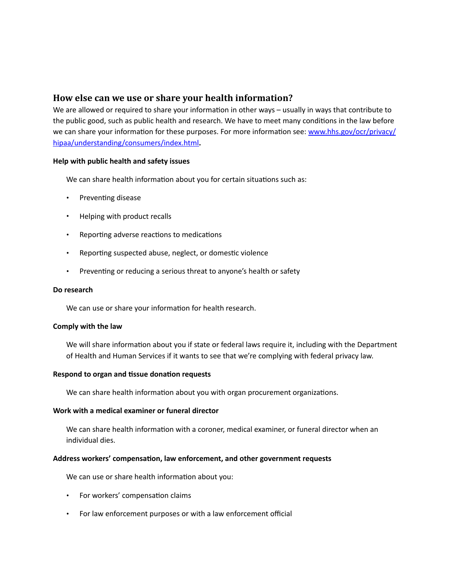### How else can we use or share your health information?

We are allowed or required to share your information in other ways – usually in ways that contribute to the public good, such as public health and research. We have to meet many conditions in the law before we can share your information for these purposes. For more information see: [www.hhs.gov/ocr/privacy/](http://www.hhs.gov/ocr/privacy/hipaa/understanding/consumers/index.html) [hipaa/understanding/consumers/index.html](http://www.hhs.gov/ocr/privacy/hipaa/understanding/consumers/index.html)**.** 

#### **Help with public health and safety issues**

We can share health information about you for certain situations such as:

- Preventing disease
- Helping with product recalls
- Reporting adverse reactions to medications
- Reporting suspected abuse, neglect, or domestic violence
- Preventing or reducing a serious threat to anyone's health or safety

#### Do research

We can use or share your information for health research.

#### **Comply with the law**

We will share information about you if state or federal laws require it, including with the Department of Health and Human Services if it wants to see that we're complying with federal privacy law.

#### **Respond to organ and tissue donation requests**

We can share health information about you with organ procurement organizations.

#### **Work with a medical examiner or funeral director**

We can share health information with a coroner, medical examiner, or funeral director when an individual dies.

#### Address workers' compensation, law enforcement, and other government requests

We can use or share health information about you:

- For workers' compensation claims
- For law enforcement purposes or with a law enforcement official